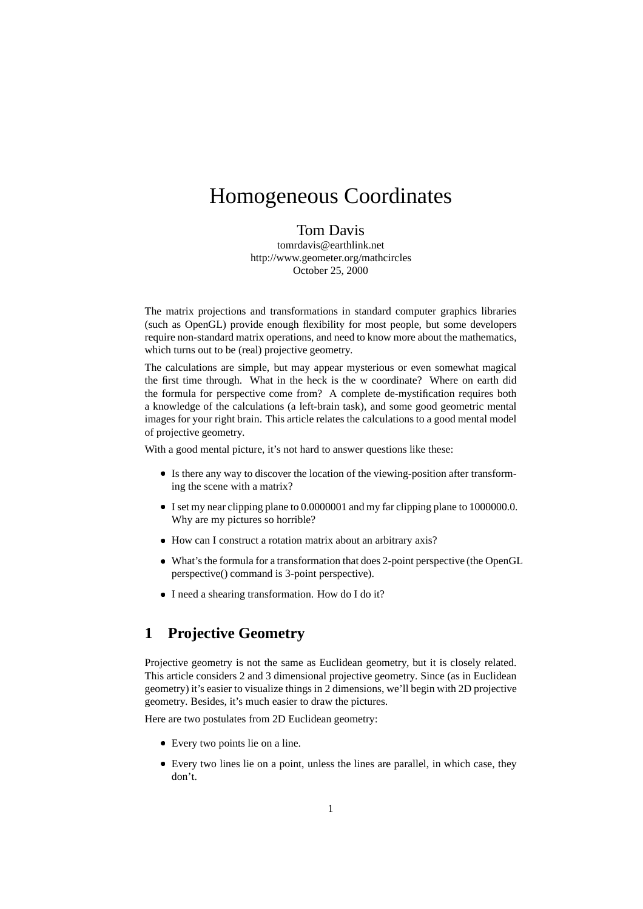# Homogeneous Coordinates

#### Tom Davis

tomrdavis@earthlink.net http://www.geometer.org/mathcircles October 25, 2000

The matrix projections and transformations in standard computer graphics libraries (such as OpenGL) provide enough flexibility for most people, but some developers require non-standard matrix operations, and need to know more about the mathematics, which turns out to be (real) projective geometry.

The calculations are simple, but may appear mysterious or even somewhat magical the first time through. What in the heck is the w coordinate? Where on earth did the formula for perspective come from? A complete de-mystification requires both a knowledge of the calculations (a left-brain task), and some good geometric mental images for your right brain. This article relates the calculations to a good mental model of projective geometry.

With a good mental picture, it's not hard to answer questions like these:

- Is there any way to discover the location of the viewing-position after transforming the scene with a matrix?
- I set my near clipping plane to 0.0000001 and my far clipping plane to 1000000.0. Why are my pictures so horrible?
- How can I construct a rotation matrix about an arbitrary axis?
- What's the formula for a transformation that does 2-point perspective (the OpenGL perspective() command is 3-point perspective).
- I need a shearing transformation. How do I do it?

## **1 Projective Geometry**

Projective geometry is not the same as Euclidean geometry, but it is closely related. This article considers 2 and 3 dimensional projective geometry. Since (as in Euclidean geometry) it's easier to visualize things in 2 dimensions, we'll begin with 2D projective geometry. Besides, it's much easier to draw the pictures.

Here are two postulates from 2D Euclidean geometry:

- Every two points lie on a line.
- Every two lines lie on a point, unless the lines are parallel, in which case, they don't.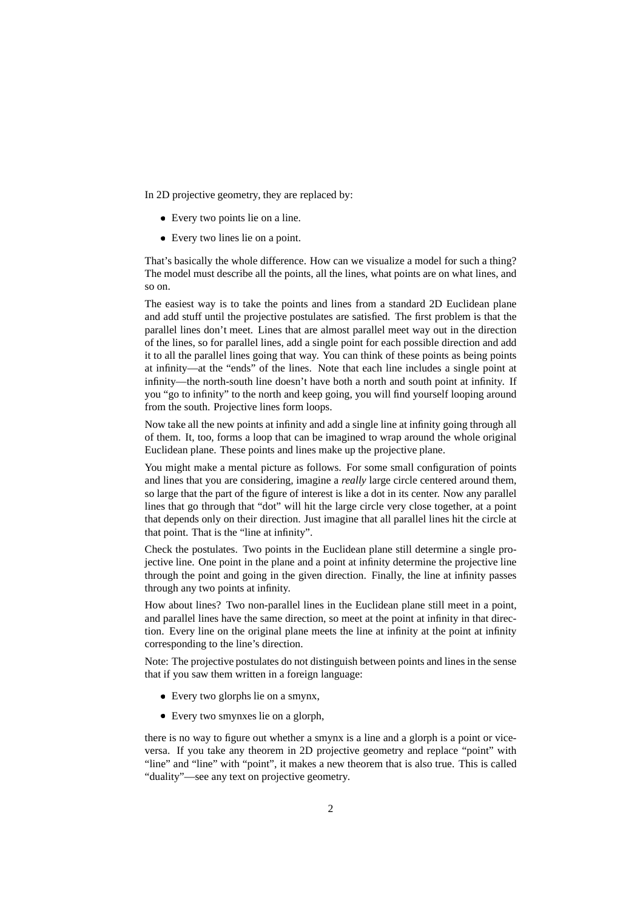In 2D projective geometry, they are replaced by:

- Every two points lie on a line.
- Every two lines lie on a point.

That's basically the whole difference. How can we visualize a model for such a thing? The model must describe all the points, all the lines, what points are on what lines, and so on.

The easiest way is to take the points and lines from a standard 2D Euclidean plane and add stuff until the projective postulates are satisfied. The first problem is that the parallel lines don't meet. Lines that are almost parallel meet way out in the direction of the lines, so for parallel lines, add a single point for each possible direction and add it to all the parallel lines going that way. You can think of these points as being points at infinity—at the "ends" of the lines. Note that each line includes a single point at infinity—the north-south line doesn't have both a north and south point at infinity. If you "go to infinity" to the north and keep going, you will find yourself looping around from the south. Projective lines form loops.

Now take all the new points at infinity and add a single line at infinity going through all of them. It, too, forms a loop that can be imagined to wrap around the whole original Euclidean plane. These points and lines make up the projective plane.

You might make a mental picture as follows. For some small configuration of points and lines that you are considering, imagine a *really* large circle centered around them, so large that the part of the figure of interest is like a dot in its center. Now any parallel lines that go through that "dot" will hit the large circle very close together, at a point that depends only on their direction. Just imagine that all parallel lines hit the circle at that point. That is the "line at infinity".

Check the postulates. Two points in the Euclidean plane still determine a single projective line. One point in the plane and a point at infinity determine the projective line through the point and going in the given direction. Finally, the line at infinity passes through any two points at infinity.

How about lines? Two non-parallel lines in the Euclidean plane still meet in a point, and parallel lines have the same direction, so meet at the point at infinity in that direction. Every line on the original plane meets the line at infinity at the point at infinity corresponding to the line's direction.

Note: The projective postulates do not distinguish between points and lines in the sense that if you saw them written in a foreign language:

- Every two glorphs lie on a smynx,
- Every two smynxes lie on a glorph,

there is no way to figure out whether a smynx is a line and a glorph is a point or viceversa. If you take any theorem in 2D projective geometry and replace "point" with "line" and "line" with "point", it makes a new theorem that is also true. This is called "duality"—see any text on projective geometry.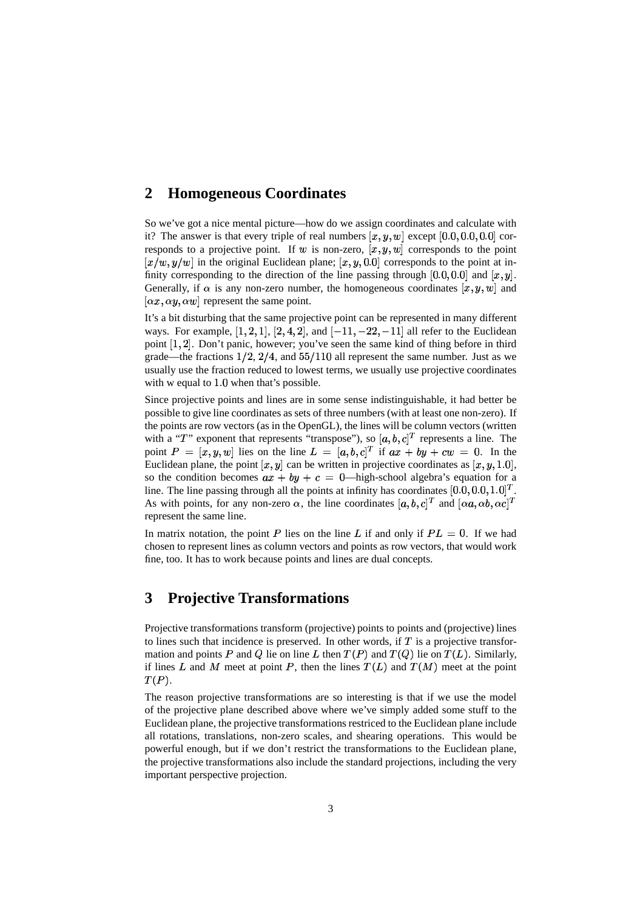#### **2 Homogeneous Coordinates**

So we've got a nice mental picture—how do we assign coordinates and calculate with it? The answer is that every triple of real numbers  $[x, y, w]$  except  $[0.0, 0.0, 0.0]$  corresponds to a projective point. If w is non-zero,  $[x, y, w]$  corresponds to the point  $[x/w, y/w]$  in the original Euclidean plane;  $[x, y, 0.0]$  corresponds to the point at infinity corresponding to the direction of the line passing through [0.0, 0.0] and  $[x, y]$ . Generally, if  $\alpha$  is any non-zero number, the homogeneous coordinates  $[x, y, w]$  and  $[\alpha x, \alpha y, \alpha w]$  represent the same point.

It's a bit disturbing that the same projective point can be represented in many different ways. For example,  $[1, 2, 1]$ ,  $[2, 4, 2]$ , and  $[-11, -22, -11]$  all refer to the Euclidean point  $[1, 2]$ . Don't panic, however; you've seen the same kind of thing before in third grade—the fractions  $1/2$ ,  $2/4$ , and  $55/110$  all represent the same number. Just as we usually use the fraction reduced to lowest terms, we usually use projective coordinates with w equal to  $1.0$  when that's possible.

Since projective points and lines are in some sense indistinguishable, it had better be possible to give line coordinates as sets of three numbers(with at least one non-zero). If the points are row vectors (as in the OpenGL), the lines will be column vectors (written with a "T" exponent that represents "transpose"), so  $[a, b, c]^T$  represents a line. The point  $P = [x, y, w]$  lies on the line  $L = [a, b, c]^T$  if  $ax + by + cw = 0$ . In the Euclidean plane, the point  $[x, y]$  can be written in projective coordinates as  $[x, y, 1.0]$ , so the condition becomes  $ax + by + c = 0$ —high-school algebra's equation for a line. The line passing through all the points at infinity has coordinates  $[0.0, 0.0, 1.0]^T$ . As with points, for any non-zero  $\alpha$ , the line coordinates  $[a, b, c]^T$  and  $[\alpha a, \alpha b, \alpha c]^T$ represent the same line.

In matrix notation, the point P lies on the line L if and only if  $PL = 0$ . If we had chosen to represent lines as column vectors and points as row vectors, that would work fine, too. It has to work because points and lines are dual concepts.

## **3 Projective Transformations**

Projective transformations transform (projective) points to points and (projective) lines to lines such that incidence is preserved. In other words, if  $T$  is a projective transformation and points P and Q lie on line L then  $T(P)$  and  $T(Q)$  lie on  $T(L)$ . Similarly, if lines L and M meet at point P, then the lines  $T(L)$  and  $T(M)$  meet at the point  $T(P).$ 

The reason projective transformations are so interesting is that if we use the model of the projective plane described above where we've simply added some stuff to the Euclidean plane, the projective transformations restriced to the Euclidean plane include all rotations, translations, non-zero scales, and shearing operations. This would be powerful enough, but if we don't restrict the transformations to the Euclidean plane, the projective transformations also include the standard projections, including the very important perspective projection.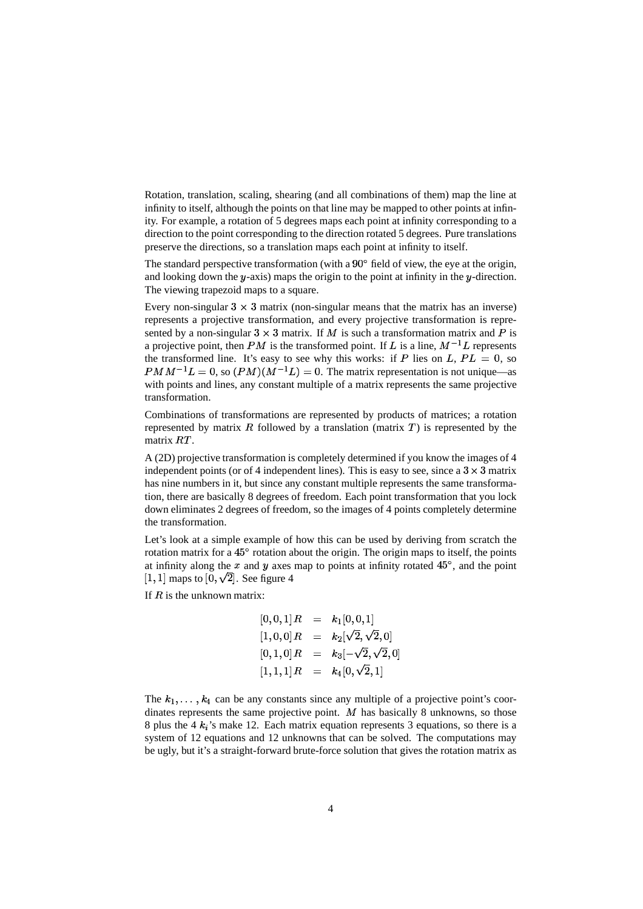Rotation, translation, scaling, shearing (and all combinations of them) map the line at infinity to itself, although the points on that line may be mapped to other points at infinity. For example, a rotation of 5 degrees maps each point at infinity corresponding to a direction to the point corresponding to the direction rotated 5 degrees. Pure translations preserve the directions, so a translation maps each point at infinity to itself.

The standard perspective transformation (with a  $90^{\circ}$  field of view, the eye at the origin, and looking down the  $y$ -axis) maps the origin to the point at infinity in the  $y$ -direction. The viewing trapezoid maps to a square.

Every non-singular  $3 \times 3$  matrix (non-singular means that the matrix has an inverse) represents a projective transformation, and every projective transformation is represented by a non-singular  $3 \times 3$  matrix. If M is such a transformation matrix and P is a projective point, then PM is the transformed point. If L is a line,  $M^{-1}L$  represents the transformed line. It's easy to see why this works: if P lies on L,  $PL = 0$ , so  $PMM^{-1}L = 0$ , so  $(PM)(M^{-1}L) = 0$ . The matrix representation is not unique—as with points and lines, any constant multiple of a matrix represents the same projective transformation.

Combinations of transformations are represented by products of matrices; a rotation represented by matrix  $\hat{R}$  followed by a translation (matrix  $\hat{T}$ ) is represented by the matrix  $RT$ .

A (2D) projective transformation is completely determined if you know the images of 4 independent points (or of 4 independent lines). This is easy to see, since a  $3 \times 3$  matrix has nine numbers in it, but since any constant multiple represents the same transformation, there are basically 8 degrees of freedom. Each point transformation that you lock down eliminates 2 degrees of freedom, so the images of 4 points completely determine the transformation.

Let's look at a simple example of how this can be used by deriving from scratch the rotation matrix for a 45° rotation about the origin. The origin maps to itself, the points at infinity along the x and y axes map to points at infinity rotated  $45^{\circ}$ , and the point [1, 1] maps to [0,  $\sqrt{2}$ ]. See figure 4

If  $R$  is the unknown matrix:

$$
[0, 0, 1]R = k_1[0, 0, 1]
$$
  
\n
$$
[1, 0, 0]R = k_2[\sqrt{2}, \sqrt{2}, 0]
$$
  
\n
$$
[0, 1, 0]R = k_3[-\sqrt{2}, \sqrt{2}, 0]
$$
  
\n
$$
[1, 1, 1]R = k_4[0, \sqrt{2}, 1]
$$

The  $k_1, \ldots, k_4$  can be any constants since any multiple of a projective point's coordinates represents the same projective point.  $M$  has basically 8 unknowns, so those 8 plus the 4  $k_i$ 's make 12. Each matrix equation represents 3 equations, so there is a system of 12 equations and 12 unknowns that can be solved. The computations may be ugly, but it's a straight-forward brute-force solution that gives the rotation matrix as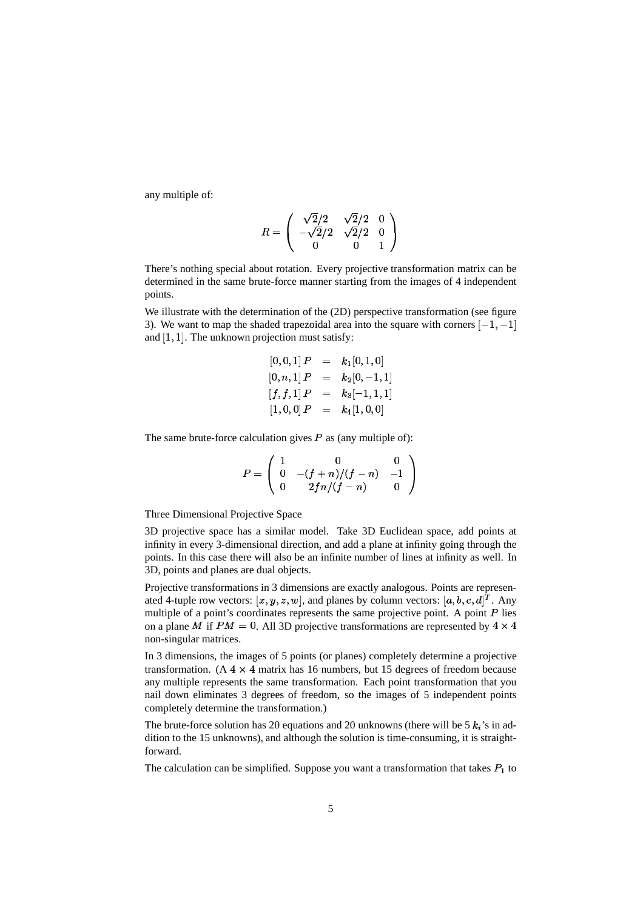any multiple of:

$$
R = \left(\begin{array}{ccc} \sqrt{2}/2 & \sqrt{2}/2 & 0 \\ -\sqrt{2}/2 & \sqrt{2}/2 & 0 \\ 0 & 0 & 1 \end{array}\right)
$$

There's nothing special about rotation. Every projective transformation matrix can be determined in the same brute-force manner starting from the images of 4 independent points.

We illustrate with the determination of the (2D) perspective transformation (see figure 3). We want to map the shaded trapezoidal area into the square with corners  $[-1, -1]$ and  $[1, 1]$ . The unknown projection must satisfy:

$$
[0,0,1] P = k_1[0,1,0]
$$
  
\n
$$
[0,n,1] P = k_2[0,-1,1]
$$
  
\n
$$
[f, f, 1] P = k_3[-1,1,1]
$$
  
\n
$$
[1,0,0] P = k_4[1,0,0]
$$

The same brute-force calculation gives  $P$  as (any multiple of):

$$
P = \left(\begin{array}{ccc} 1 & 0 & 0 \\ 0 & -(f+n)/(f-n) & -1 \\ 0 & 2fn/(f-n) & 0 \end{array}\right)
$$

Three Dimensional Projective Space

3D projective space has a similar model. Take 3D Euclidean space, add points at infinity in every 3-dimensional direction, and add a plane at infinity going through the points. In this case there will also be an infinite number of lines at infinity as well. In 3D, points and planes are dual objects.

Projective transformations in 3 dimensions are exactly analogous. Points are represenated 4-tuple row vectors:  $[x, y, z, w]$ , and planes by column vectors:  $[a, b, c, d]^T$ . Any multiple of a point's coordinates represents the same projective point. A point  $P$  lies on a plane M if  $PM = 0$ . All 3D projective transformations are represented by  $4 \times 4$ non-singular matrices.

In 3 dimensions, the images of 5 points (or planes) completely determine a projective transformation. (A  $4 \times 4$  matrix has 16 numbers, but 15 degrees of freedom because any multiple represents the same transformation. Each point transformation that you nail down eliminates 3 degrees of freedom, so the images of 5 independent points completely determine the transformation.)

The brute-force solution has 20 equations and 20 unknowns (there will be 5  $k_i$ 's in addition to the 15 unknowns), and although the solution is time-consuming, it is straightforward.

The calculation can be simplified. Suppose you want a transformation that takes  $P_1$  to